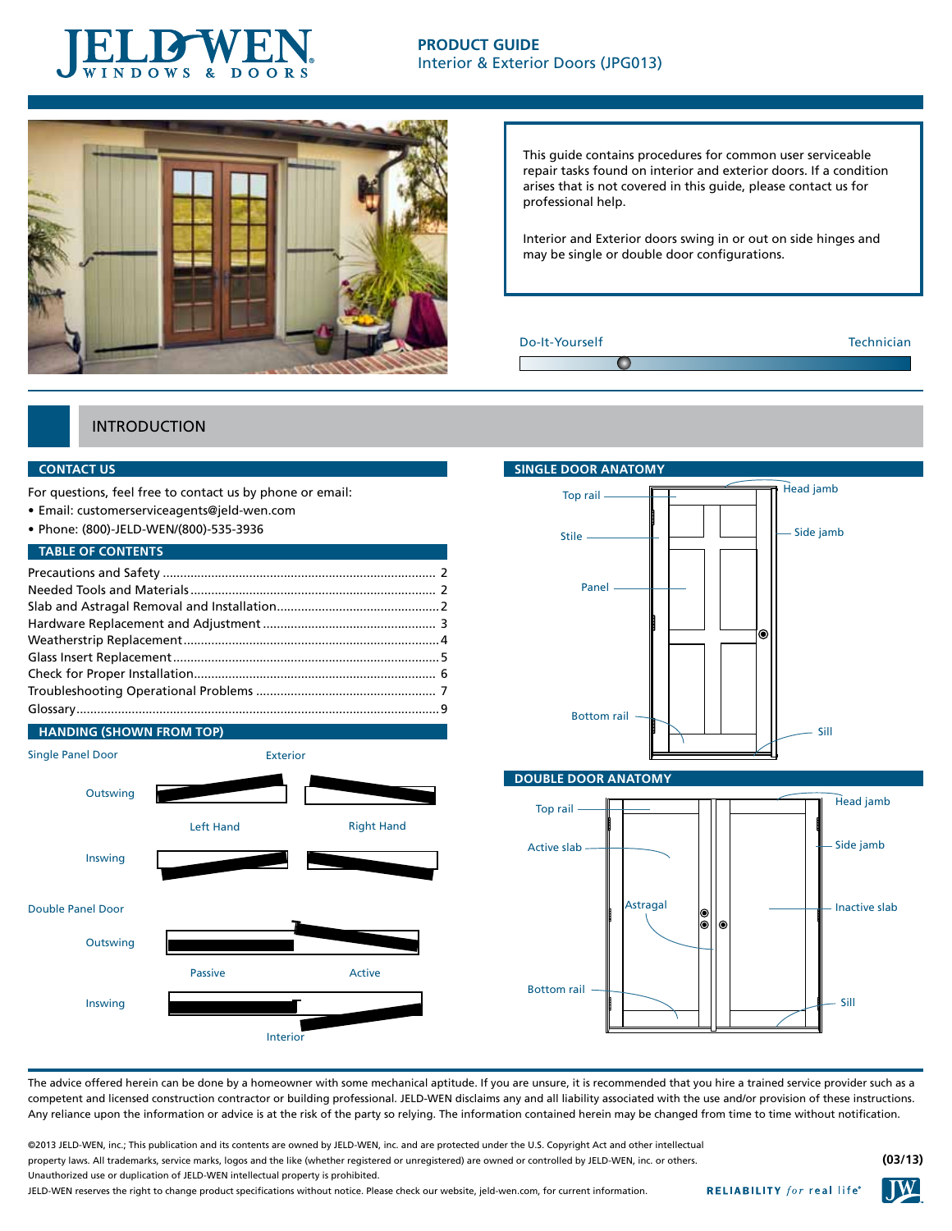



This guide contains procedures for common user serviceable repair tasks found on interior and exterior doors. If a condition arises that is not covered in this guide, please contact us for professional help.

Interior and Exterior doors swing in or out on side hinges and may be single or double door configurations.

## Do-It-Yourself Technician

# **INTRODUCTION**

## **CONTACT US**

For questions, feel free to contact us by phone or email:

- • Email: customerserviceagents@jeld-wen.com
- • Phone: (800)-JELD-WEN/(800)-535-3936

# **TABLE OF CONTENTS**





# **single DOOR AnatomY** Head jamb Top rail Side jamb Stile Panel ۵ Bottom rail Sill

## **Double DOOR AnatomY**



The advice offered herein can be done by a homeowner with some mechanical aptitude. If you are unsure, it is recommended that you hire a trained service provider such as a competent and licensed construction contractor or building professional. JELD-WEN disclaims any and all liability associated with the use and/or provision of these instructions. Any reliance upon the information or advice is at the risk of the party so relying. The information contained herein may be changed from time to time without notification.

©2013 JELD-WEN, inc.; This publication and its contents are owned by JELD-WEN, inc. and are protected under the U.S. Copyright Act and other intellectual property laws. All trademarks, service marks, logos and the like (whether registered or unregistered) are owned or controlled by JELD-WEN, inc. or others. Unauthorized use or duplication of JELD-WEN intellectual property is prohibited.

JELD-WEN reserves the right to change product specifications without notice. Please check our website, jeld-wen.com, for current information.





**(03/13)**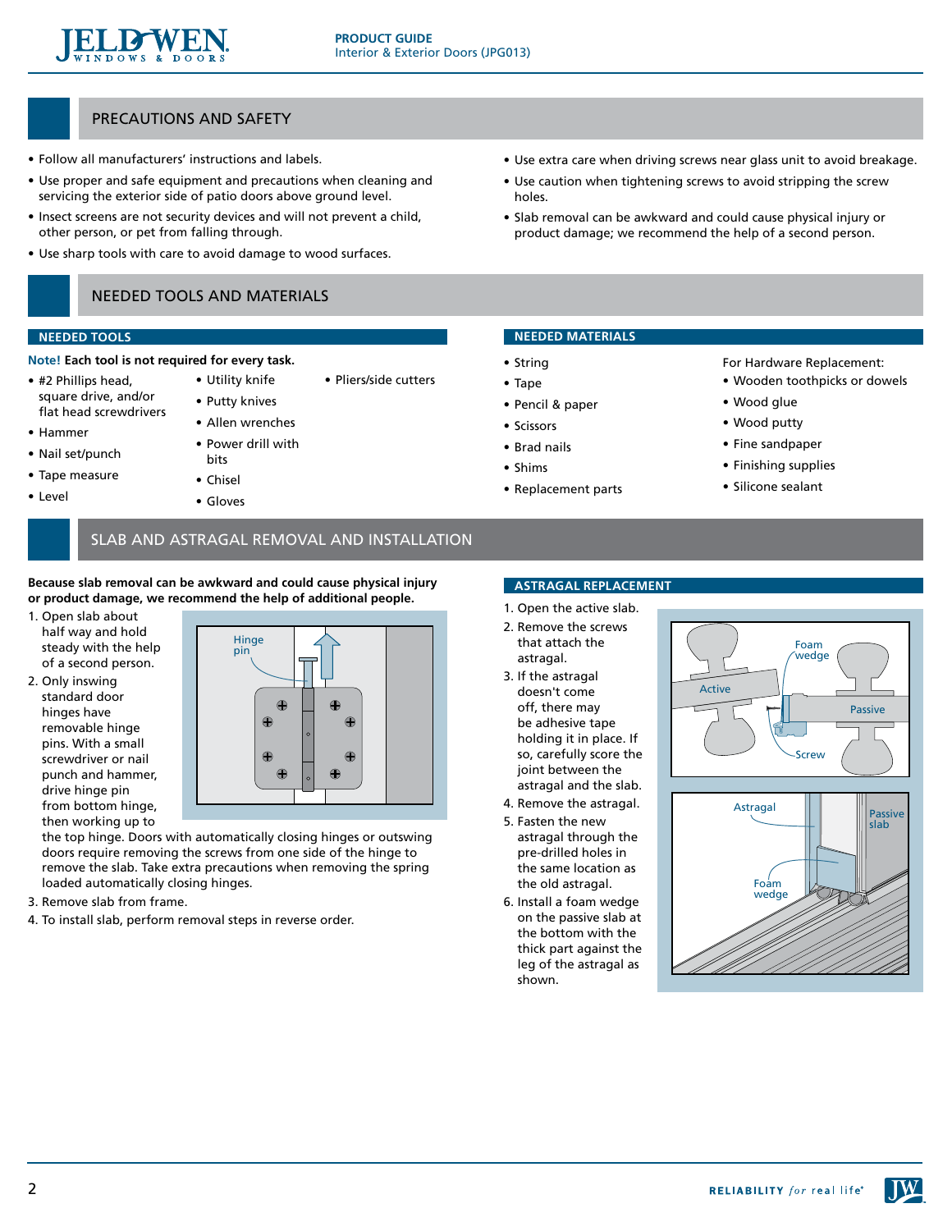

• Pliers/side cutters

# PRECAUTIONS and SAFETY

- Follow all manufacturers' instructions and labels.
- Use proper and safe equipment and precautions when cleaning and servicing the exterior side of patio doors above ground level.
- Insect screens are not security devices and will not prevent a child, other person, or pet from falling through.
- Use sharp tools with care to avoid damage to wood surfaces.

# Needed tools and materials

• Utility knife • Putty knives • Allen wrenches • Power drill with

## **needed Tools**

- **Note! Each tool is not required for every task.**
- • #2 Phillips head, square drive, and/or flat head screwdrivers
- • Hammer
- • Nail set/punch
- • Tape measure
- • Level
- bits
- • Chisel
- • Gloves

# • Use extra care when driving screws near glass unit to avoid breakage.

- Use caution when tightening screws to avoid stripping the screw holes.
- Slab removal can be awkward and could cause physical injury or product damage; we recommend the help of a second person.

# **needed materials**

- • String
- • Tape
- • Pencil & paper
- • Scissors
- • Brad nails
- • Shims
- • Replacement parts

For Hardware Replacement: • Wooden toothpicks or dowels

- • Wood glue
- • Wood putty
- Fine sandpaper
- • Finishing supplies
- • Silicone sealant

# slab and astragal REMOVAL and INSTALLATION

**Because slab removal can be awkward and could cause physical injury or product damage, we recommend the help of additional people.** 

- 1. Open slab about half way and hold steady with the help of a second person.
- 2. Only inswing standard door hinges have removable hinge pins. With a small screwdriver or nail punch and hammer, drive hinge pin from bottom hinge, then working up to



the top hinge. Doors with automatically closing hinges or outswing doors require removing the screws from one side of the hinge to remove the slab. Take extra precautions when removing the spring loaded automatically closing hinges.

- 3. Remove slab from frame.
- 4. To install slab, perform removal steps in reverse order.

# **astragal replacement**

- 1. Open the active slab. 2. Remove the screws
- that attach the astragal.
- 3. If the astragal doesn't come off, there may be adhesive tape holding it in place. If so, carefully score the joint between the astragal and the slab.
- 4. Remove the astragal.
- 5. Fasten the new astragal through the pre-drilled holes in the same location as the old astragal.
- 6. Install a foam wedge on the passive slab at the bottom with the thick part against the leg of the astragal as shown.





2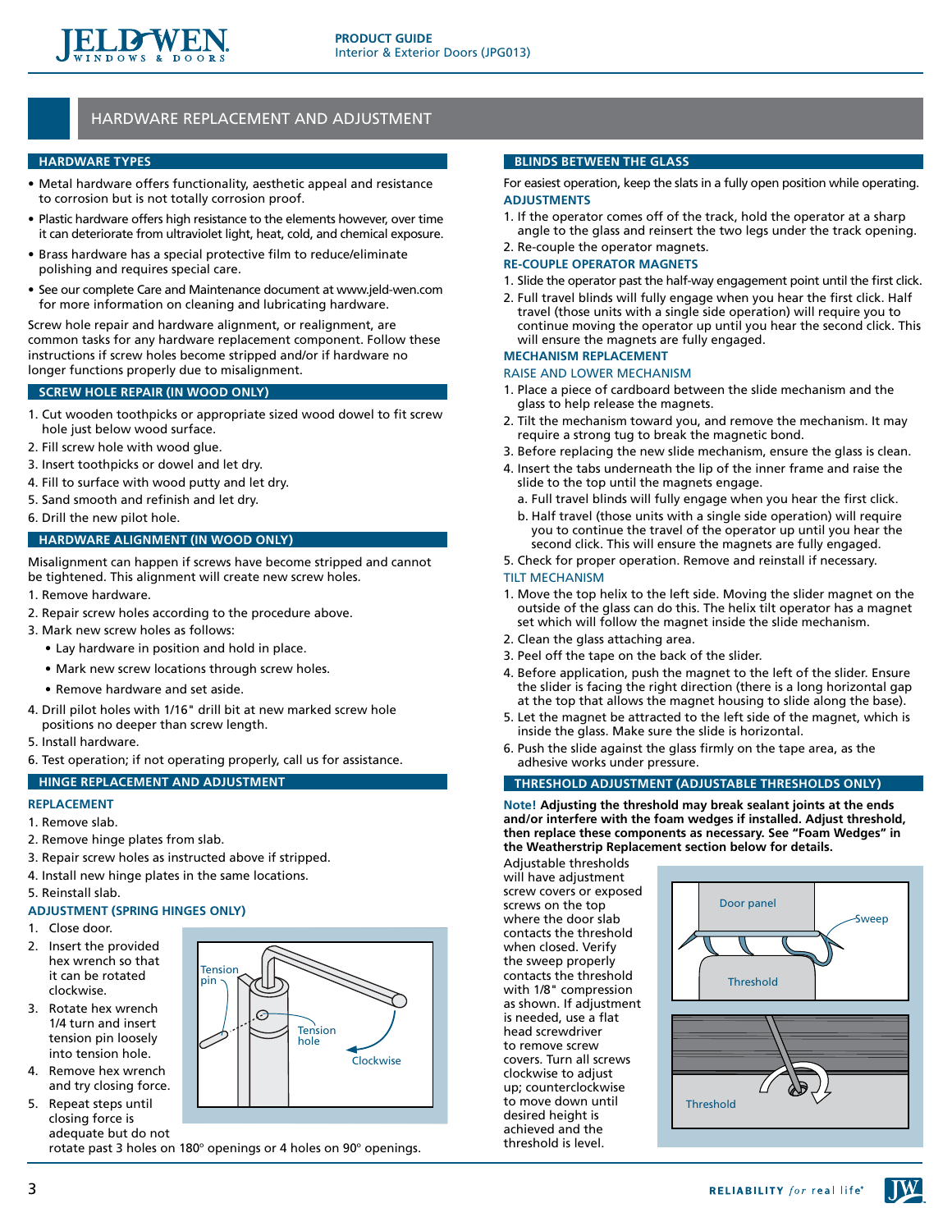

# hardware REPLACEMENT and adjustment

## **HARDWARE TYPES**

- Metal hardware offers functionality, aesthetic appeal and resistance to corrosion but is not totally corrosion proof.
- Plastic hardware offers high resistance to the elements however, over time it can deteriorate from ultraviolet light, heat, cold, and chemical exposure.
- Brass hardware has a special protective film to reduce/eliminate polishing and requires special care.
- See our complete Care and Maintenance document at www.jeld-wen.com for more information on cleaning and lubricating hardware.

Screw hole repair and hardware alignment, or realignment, are common tasks for any hardware replacement component. Follow these instructions if screw holes become stripped and/or if hardware no longer functions properly due to misalignment.

# **Screw Hole Repair (in wood only)**

- 1. Cut wooden toothpicks or appropriate sized wood dowel to fit screw hole just below wood surface.
- 2. Fill screw hole with wood glue.
- 3. Insert toothpicks or dowel and let dry.
- 4. Fill to surface with wood putty and let dry.
- 5. Sand smooth and refinish and let dry.
- 6. Drill the new pilot hole.

# **Hardware Alignment (in wood only)**

Misalignment can happen if screws have become stripped and cannot be tightened. This alignment will create new screw holes.

- 1. Remove hardware.
- 2. Repair screw holes according to the procedure above.
- 3. Mark new screw holes as follows:
	- Lay hardware in position and hold in place.
	- Mark new screw locations through screw holes.
	- Remove hardware and set aside.
- 4. Drill pilot holes with 1/16" drill bit at new marked screw hole positions no deeper than screw length.
- 5. Install hardware.
- 6. Test operation; if not operating properly, call us for assistance.

**Tension** 

## **hinge replacement and adjustment**

## **replacement**

- 1. Remove slab.
- 2. Remove hinge plates from slab.
- 3. Repair screw holes as instructed above if stripped.
- 4. Install new hinge plates in the same locations.
- 5. Reinstall slab.

## **Adjustment (spring hinges only)**

- 1. Close door.
- 2. Insert the provided hex wrench so that it can be rotated clockwise.
- 3. Rotate hex wrench 1/4 turn and insert tension pin loosely into tension hole.
- 4. Remove hex wrench and try closing force.
- 5. Repeat steps until closing force is adequate but do not



rotate past 3 holes on 180 $^{\circ}$  openings or 4 holes on 90 $^{\circ}$  openings.

### **Blinds Between the glass**

For easiest operation, keep the slats in a fully open position while operating. **Adjustments**

- 1. If the operator comes off of the track, hold the operator at a sharp angle to the glass and reinsert the two legs under the track opening.
- 2. Re-couple the operator magnets.

## **Re-couple Operator Magnets**

- 1. Slide the operator past the half-way engagement point until the first click.
- 2. Full travel blinds will fully engage when you hear the first click. Half travel (those units with a single side operation) will require you to continue moving the operator up until you hear the second click. This will ensure the magnets are fully engaged.

# **Mechanism replacement**

#### Raise and Lower mechanism

- 1. Place a piece of cardboard between the slide mechanism and the glass to help release the magnets.
- 2. Tilt the mechanism toward you, and remove the mechanism. It may require a strong tug to break the magnetic bond.
- 3. Before replacing the new slide mechanism, ensure the glass is clean.
- 4. Insert the tabs underneath the lip of the inner frame and raise the slide to the top until the magnets engage.
	- a. Full travel blinds will fully engage when you hear the first click.
	- b. Half travel (those units with a single side operation) will require you to continue the travel of the operator up until you hear the second click. This will ensure the magnets are fully engaged.
- 5. Check for proper operation. Remove and reinstall if necessary. Tilt mechanism
- 1. Move the top helix to the left side. Moving the slider magnet on the outside of the glass can do this. The helix tilt operator has a magnet set which will follow the magnet inside the slide mechanism.
- 2. Clean the glass attaching area.
- 3. Peel off the tape on the back of the slider.
- 4. Before application, push the magnet to the left of the slider. Ensure the slider is facing the right direction (there is a long horizontal gap at the top that allows the magnet housing to slide along the base).
- 5. Let the magnet be attracted to the left side of the magnet, which is inside the glass. Make sure the slide is horizontal.
- 6. Push the slide against the glass firmly on the tape area, as the adhesive works under pressure.

## **Threshold adjustment (adjustable thresholds only)**

**Note! Adjusting the threshold may break sealant joints at the ends and/or interfere with the foam wedges if installed. Adjust threshold, then replace these components as necessary. See "Foam Wedges" in the Weatherstrip Replacement section below for details.**

Adjustable thresholds will have adjustment screw covers or exposed screws on the top where the door slab contacts the threshold when closed. Verify the sweep properly contacts the threshold with 1/8" compression as shown. If adjustment is needed, use a flat head screwdriver to remove screw covers. Turn all screws clockwise to adjust up; counterclockwise to move down until desired height is achieved and the threshold is level.



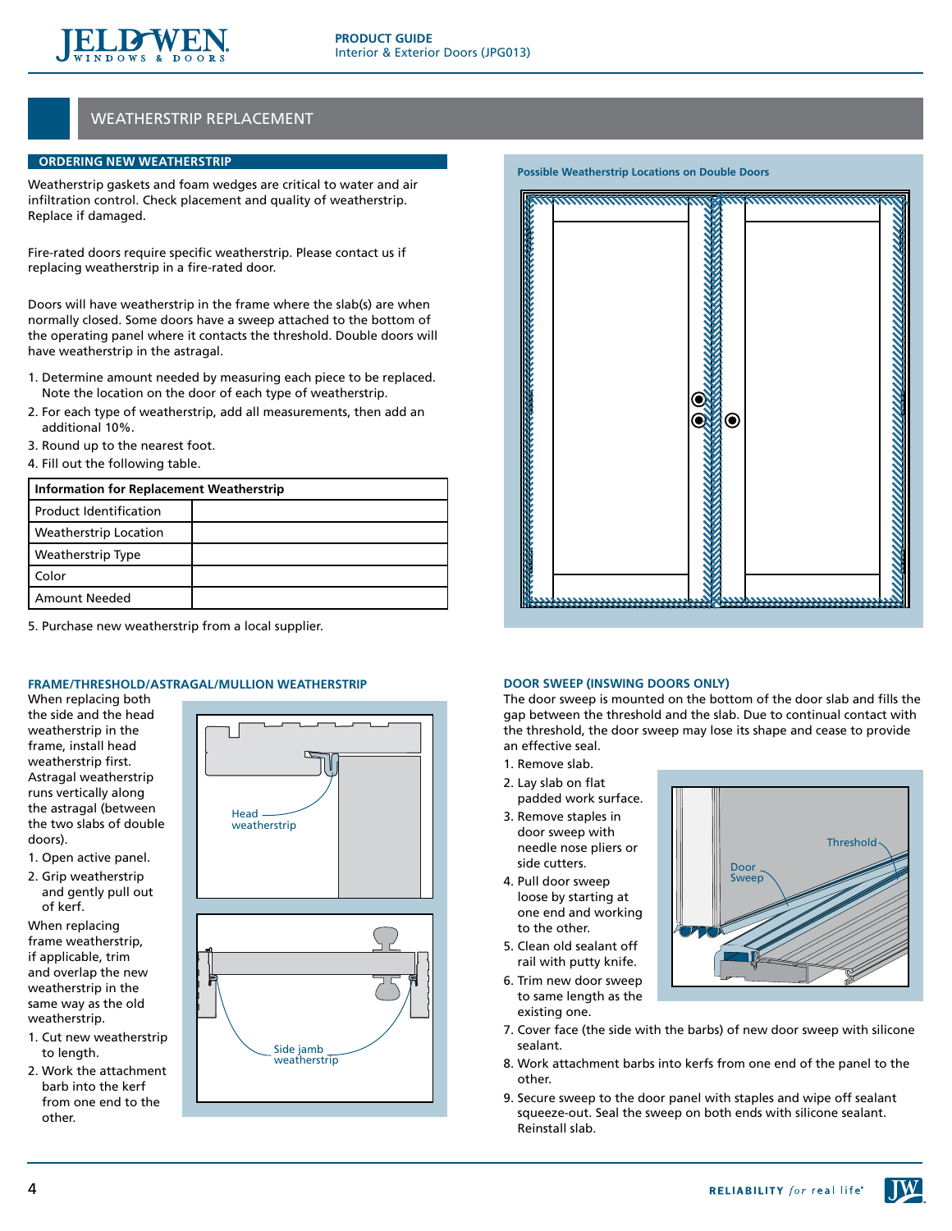

# weatherstrip REPLACEMENT

# **Ordering New Weatherstrip**

Weatherstrip gaskets and foam wedges are critical to water and air infiltration control. Check placement and quality of weatherstrip. Replace if damaged.

Fire-rated doors require specific weatherstrip. Please contact us if replacing weatherstrip in a fire-rated door.

Doors will have weatherstrip in the frame where the slab(s) are when normally closed. Some doors have a sweep attached to the bottom of the operating panel where it contacts the threshold. Double doors will have weatherstrip in the astragal.

- 1. Determine amount needed by measuring each piece to be replaced. Note the location on the door of each type of weatherstrip.
- 2. For each type of weatherstrip, add all measurements, then add an additional 10%.
- 3. Round up to the nearest foot.
- 4. Fill out the following table.

| <b>Information for Replacement Weatherstrip</b> |  |  |
|-------------------------------------------------|--|--|
| <b>Product Identification</b>                   |  |  |
| <b>Weatherstrip Location</b>                    |  |  |
| Weatherstrip Type                               |  |  |
| Color                                           |  |  |
| <b>Amount Needed</b>                            |  |  |

5. Purchase new weatherstrip from a local supplier.

# **Frame/Threshold/Astragal/Mullion Weatherstrip**

When replacing both the side and the head weatherstrip in the frame, install head weatherstrip first. Astragal weatherstrip runs vertically along the astragal (between the two slabs of double doors).

- 1. Open active panel.
- 2. Grip weatherstrip and gently pull out of kerf.

When replacing frame weatherstrip, if applicable, trim and overlap the new weatherstrip in the same way as the old weatherstrip.

- 1. Cut new weatherstrip to length.
- 2. Work the attachment barb into the kerf from one end to the other.





# **Possible Weatherstrip Locations on Double Doors**

## **Door Sweep (Inswing doors only)**

The door sweep is mounted on the bottom of the door slab and fills the gap between the threshold and the slab. Due to continual contact with the threshold, the door sweep may lose its shape and cease to provide an effective seal.

- 1. Remove slab.
- 2. Lay slab on flat padded work surface.
- 3. Remove staples in door sweep with needle nose pliers or side cutters.
- 4. Pull door sweep loose by starting at one end and working to the other.
- 5. Clean old sealant off rail with putty knife.
- 6. Trim new door sweep to same length as the existing one.



- 7. Cover face (the side with the barbs) of new door sweep with silicone sealant.
- 8. Work attachment barbs into kerfs from one end of the panel to the other.
- 9. Secure sweep to the door panel with staples and wipe off sealant squeeze-out. Seal the sweep on both ends with silicone sealant. Reinstall slab.

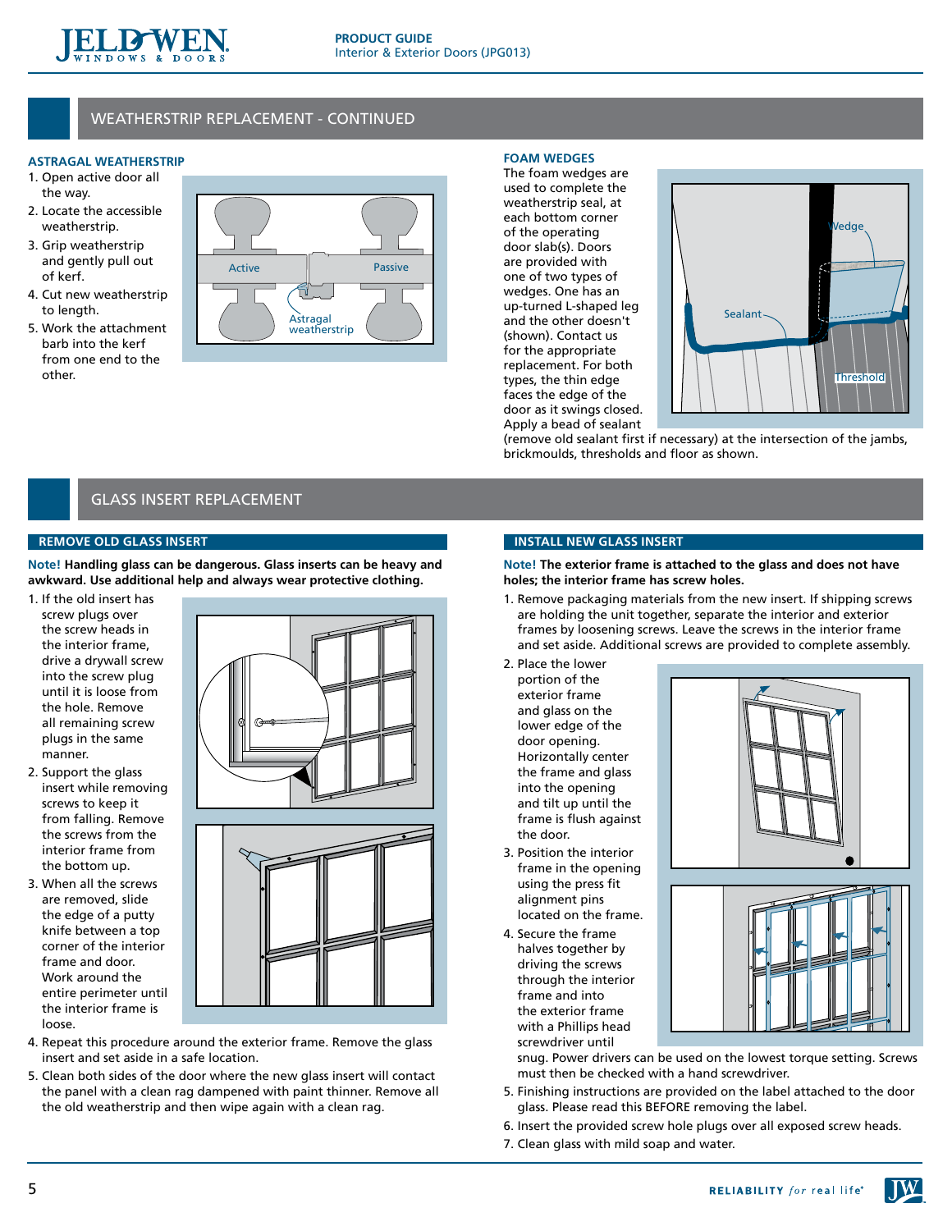

# weatherstrip REPLACEMENT - continued

# **Astragal Weatherstrip**

- 1. Open active door all the way.
- 2. Locate the accessible weatherstrip.
- 3. Grip weatherstrip and gently pull out of kerf.
- 4. Cut new weatherstrip to length.
- 5. Work the attachment barb into the kerf from one end to the other.



## **Foam wedges**

The foam wedges are used to complete the weatherstrip seal, at each bottom corner of the operating door slab(s). Doors are provided with one of two types of wedges. One has an up-turned L-shaped leg and the other doesn't (shown). Contact us for the appropriate replacement. For both types, the thin edge faces the edge of the door as it swings closed. Apply a bead of sealant



(remove old sealant first if necessary) at the intersection of the jambs, brickmoulds, thresholds and floor as shown.

# glass insert replacement

# **Remove Old Glass insert**

**Note! Handling glass can be dangerous. Glass inserts can be heavy and awkward. Use additional help and always wear protective clothing.**

- 1. If the old insert has screw plugs over the screw heads in the interior frame, drive a drywall screw into the screw plug until it is loose from the hole. Remove all remaining screw plugs in the same manner.
- 2. Support the glass insert while removing screws to keep it from falling. Remove the screws from the interior frame from the bottom up.
- 3. When all the screws are removed, slide the edge of a putty knife between a top corner of the interior frame and door. Work around the entire perimeter until the interior frame is loose.



- 4. Repeat this procedure around the exterior frame. Remove the glass insert and set aside in a safe location.
- 5. Clean both sides of the door where the new glass insert will contact the panel with a clean rag dampened with paint thinner. Remove all the old weatherstrip and then wipe again with a clean rag.

## **Install New Glass insert**

**Note! The exterior frame is attached to the glass and does not have holes; the interior frame has screw holes.**

- 1. Remove packaging materials from the new insert. If shipping screws are holding the unit together, separate the interior and exterior frames by loosening screws. Leave the screws in the interior frame and set aside. Additional screws are provided to complete assembly.
- 2. Place the lower portion of the exterior frame and glass on the lower edge of the door opening. Horizontally center the frame and glass into the opening and tilt up until the frame is flush against the door.
- 3. Position the interior frame in the opening using the press fit alignment pins located on the frame.
- 4. Secure the frame halves together by driving the screws through the interior frame and into the exterior frame with a Phillips head screwdriver until



snug. Power drivers can be used on the lowest torque setting. Screws must then be checked with a hand screwdriver.

- 5. Finishing instructions are provided on the label attached to the door glass. Please read this BEFORE removing the label.
- 6. Insert the provided screw hole plugs over all exposed screw heads.
- 7. Clean glass with mild soap and water.

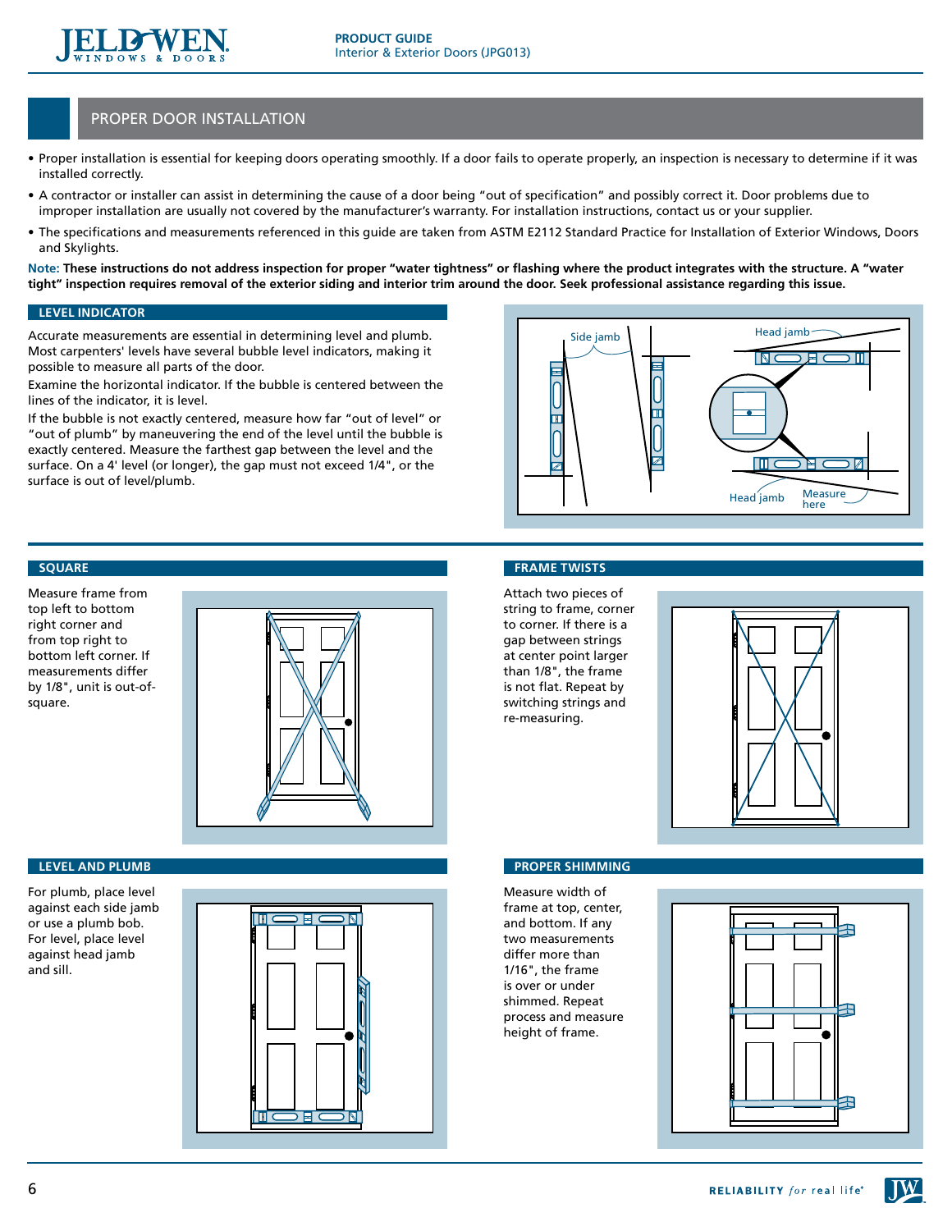

# proper door installation

- Proper installation is essential for keeping doors operating smoothly. If a door fails to operate properly, an inspection is necessary to determine if it was installed correctly.
- • A contractor or installer can assist in determining the cause of a door being "out of specification" and possibly correct it. Door problems due to improper installation are usually not covered by the manufacturer's warranty. For installation instructions, contact us or your supplier.
- The specifications and measurements referenced in this guide are taken from ASTM E2112 Standard Practice for Installation of Exterior Windows, Doors and Skylights.

**Note: These instructions do not address inspection for proper "water tightness" or flashing where the product integrates with the structure. A "water tight" inspection requires removal of the exterior siding and interior trim around the door. Seek professional assistance regarding this issue.**

## **Level indicator**

Accurate measurements are essential in determining level and plumb. Most carpenters' levels have several bubble level indicators, making it possible to measure all parts of the door.

Examine the horizontal indicator. If the bubble is centered between the lines of the indicator, it is level.

If the bubble is not exactly centered, measure how far "out of level" or "out of plumb" by maneuvering the end of the level until the bubble is exactly centered. Measure the farthest gap between the level and the surface. On a 4' level (or longer), the gap must not exceed 1/4", or the surface is out of level/plumb.



# **Square**

Measure frame from top left to bottom right corner and from top right to bottom left corner. If measurements differ by 1/8", unit is out-ofsquare.



#### **Level and Plumb**

For plumb, place level against each side jamb or use a plumb bob. For level, place level against head jamb and sill.



#### **Frame Twists**

Attach two pieces of string to frame, corner to corner. If there is a gap between strings at center point larger than 1/8", the frame is not flat. Repeat by switching strings and re-measuring.



## **Proper Shimming**

Measure width of frame at top, center, and bottom. If any two measurements differ more than 1/16", the frame is over or under shimmed. Repeat process and measure height of frame.

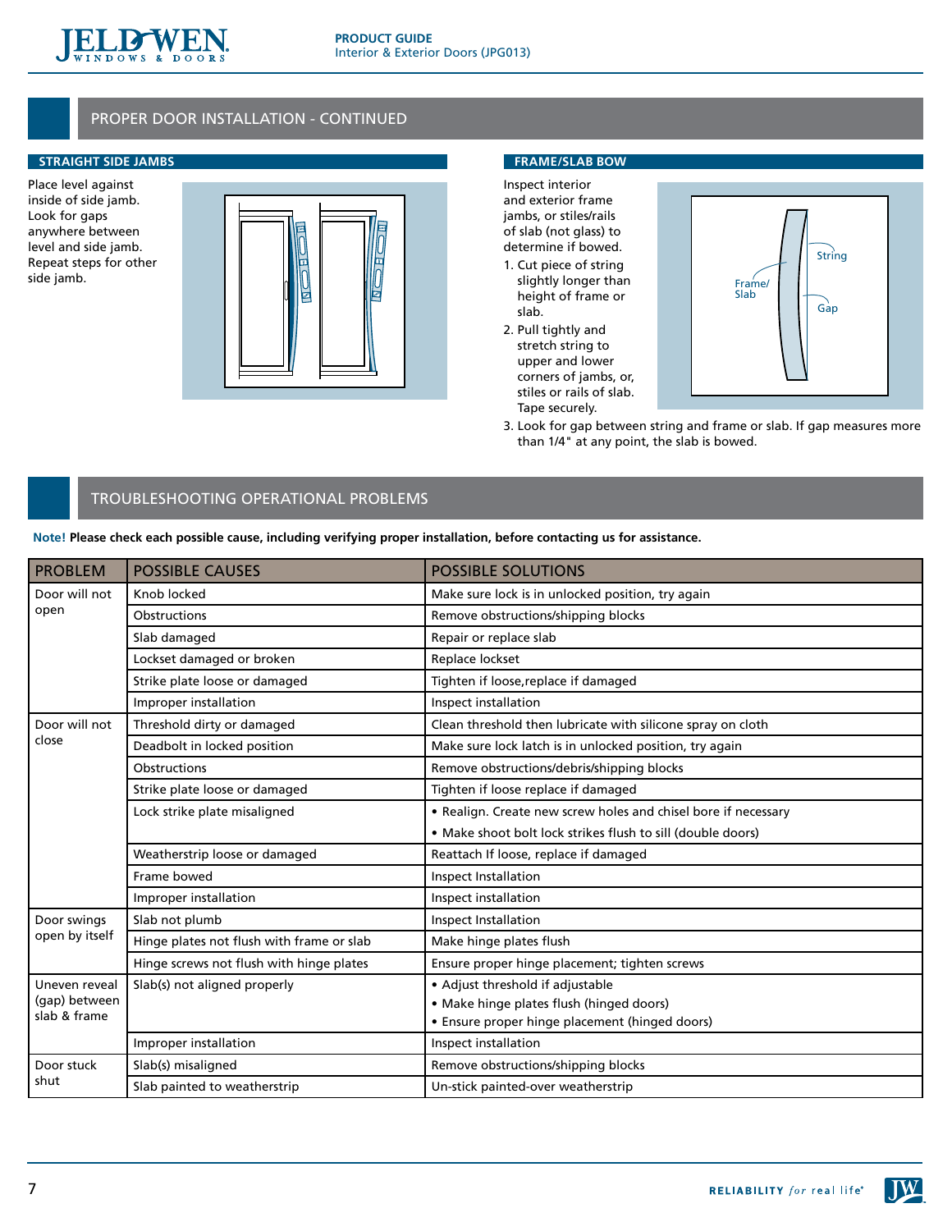

# proper door installation - continued

# **Straight Side Jambs**

Place level against inside of side jamb. Look for gaps anywhere between level and side jamb. Repeat steps for other side jamb.



# **Frame/slab Bow**

Inspect interior and exterior frame jambs, or stiles/rails of slab (not glass) to determine if bowed.

- 1. Cut piece of string slightly longer than height of frame or slab.
- 2. Pull tightly and stretch string to upper and lower corners of jambs, or, stiles or rails of slab. Tape securely.



3. Look for gap between string and frame or slab. If gap measures more than 1/4" at any point, the slab is bowed.

# troubleshooting operational problems

**Note! Please check each possible cause, including verifying proper installation, before contacting us for assistance.**

| <b>PROBLEM</b>                                 | <b>POSSIBLE CAUSES</b>                    | <b>POSSIBLE SOLUTIONS</b>                                      |
|------------------------------------------------|-------------------------------------------|----------------------------------------------------------------|
| Door will not<br>open                          | Knob locked                               | Make sure lock is in unlocked position, try again              |
|                                                | Obstructions                              | Remove obstructions/shipping blocks                            |
|                                                | Slab damaged                              | Repair or replace slab                                         |
|                                                | Lockset damaged or broken                 | Replace lockset                                                |
|                                                | Strike plate loose or damaged             | Tighten if loose, replace if damaged                           |
|                                                | Improper installation                     | Inspect installation                                           |
| Door will not<br>close                         | Threshold dirty or damaged                | Clean threshold then lubricate with silicone spray on cloth    |
|                                                | Deadbolt in locked position               | Make sure lock latch is in unlocked position, try again        |
|                                                | Obstructions                              | Remove obstructions/debris/shipping blocks                     |
|                                                | Strike plate loose or damaged             | Tighten if loose replace if damaged                            |
|                                                | Lock strike plate misaligned              | • Realign. Create new screw holes and chisel bore if necessary |
|                                                |                                           | • Make shoot bolt lock strikes flush to sill (double doors)    |
|                                                | Weatherstrip loose or damaged             | Reattach If loose, replace if damaged                          |
|                                                | Frame bowed                               | Inspect Installation                                           |
|                                                | Improper installation                     | Inspect installation                                           |
| Door swings                                    | Slab not plumb                            | Inspect Installation                                           |
| open by itself                                 | Hinge plates not flush with frame or slab | Make hinge plates flush                                        |
|                                                | Hinge screws not flush with hinge plates  | Ensure proper hinge placement; tighten screws                  |
| Uneven reveal<br>(gap) between<br>slab & frame | Slab(s) not aligned properly              | • Adjust threshold if adjustable                               |
|                                                |                                           | • Make hinge plates flush (hinged doors)                       |
|                                                |                                           | • Ensure proper hinge placement (hinged doors)                 |
|                                                | Improper installation                     | Inspect installation                                           |
| Door stuck<br>shut                             | Slab(s) misaligned                        | Remove obstructions/shipping blocks                            |
|                                                | Slab painted to weatherstrip              | Un-stick painted-over weatherstrip                             |

 $J\mathbf{W}$ 

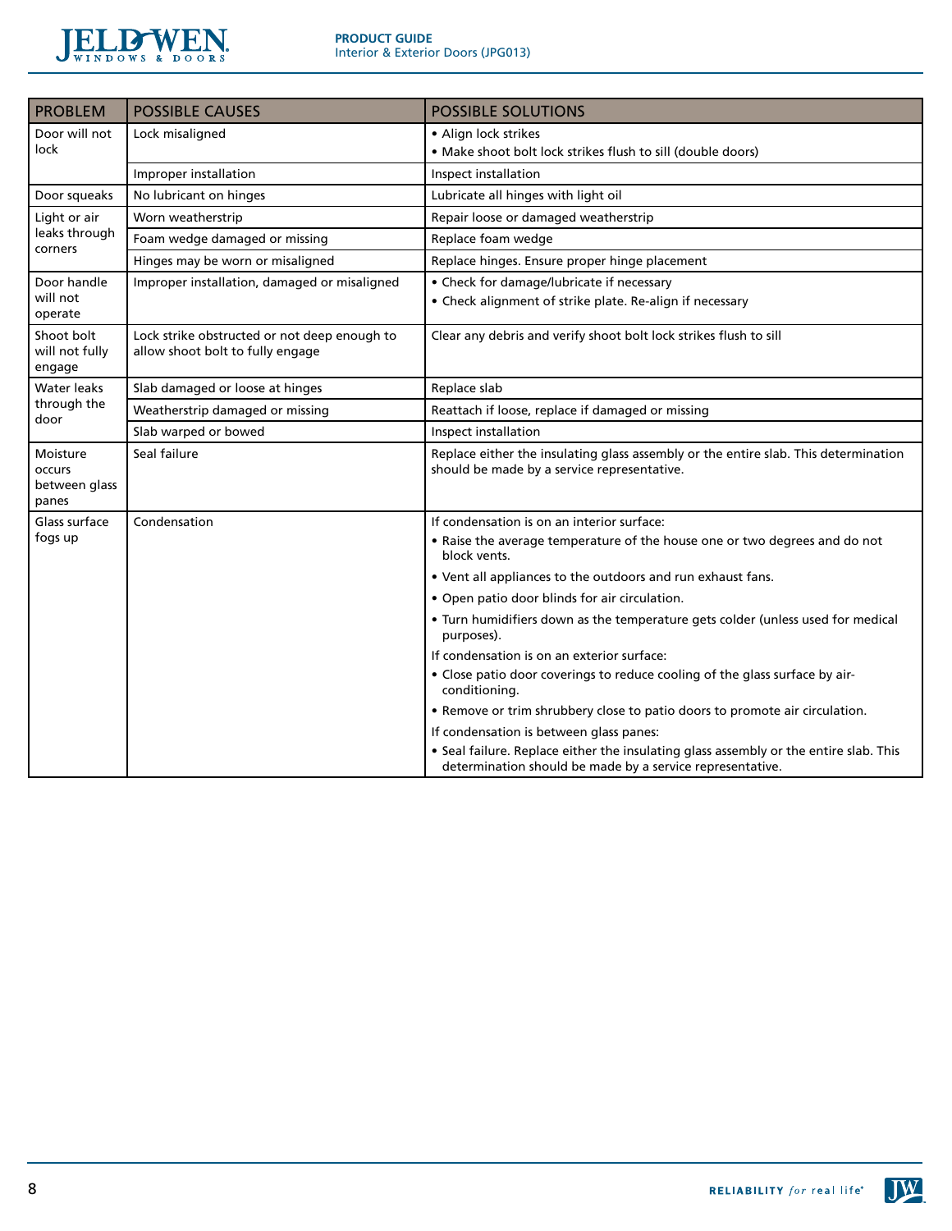

| <b>PROBLEM</b>                               | <b>POSSIBLE CAUSES</b>                                                           | <b>POSSIBLE SOLUTIONS</b>                                                                                                                          |
|----------------------------------------------|----------------------------------------------------------------------------------|----------------------------------------------------------------------------------------------------------------------------------------------------|
| Door will not<br>lock                        | Lock misaligned                                                                  | • Align lock strikes                                                                                                                               |
|                                              |                                                                                  | • Make shoot bolt lock strikes flush to sill (double doors)                                                                                        |
|                                              | Improper installation                                                            | Inspect installation                                                                                                                               |
| Door squeaks                                 | No lubricant on hinges                                                           | Lubricate all hinges with light oil                                                                                                                |
| Light or air<br>leaks through<br>corners     | Worn weatherstrip                                                                | Repair loose or damaged weatherstrip                                                                                                               |
|                                              | Foam wedge damaged or missing                                                    | Replace foam wedge                                                                                                                                 |
|                                              | Hinges may be worn or misaligned                                                 | Replace hinges. Ensure proper hinge placement                                                                                                      |
| Door handle<br>will not<br>operate           | Improper installation, damaged or misaligned                                     | • Check for damage/lubricate if necessary<br>• Check alignment of strike plate. Re-align if necessary                                              |
| Shoot bolt<br>will not fully<br>engage       | Lock strike obstructed or not deep enough to<br>allow shoot bolt to fully engage | Clear any debris and verify shoot bolt lock strikes flush to sill                                                                                  |
| Water leaks<br>through the<br>door           | Slab damaged or loose at hinges                                                  | Replace slab                                                                                                                                       |
|                                              | Weatherstrip damaged or missing                                                  | Reattach if loose, replace if damaged or missing                                                                                                   |
|                                              | Slab warped or bowed                                                             | Inspect installation                                                                                                                               |
| Moisture<br>occurs<br>between glass<br>panes | Seal failure                                                                     | Replace either the insulating glass assembly or the entire slab. This determination<br>should be made by a service representative.                 |
| Glass surface                                | Condensation                                                                     | If condensation is on an interior surface:                                                                                                         |
| fogs up                                      |                                                                                  | . Raise the average temperature of the house one or two degrees and do not<br>block vents.                                                         |
|                                              |                                                                                  | • Vent all appliances to the outdoors and run exhaust fans.                                                                                        |
|                                              |                                                                                  | · Open patio door blinds for air circulation.                                                                                                      |
|                                              |                                                                                  | . Turn humidifiers down as the temperature gets colder (unless used for medical<br>purposes).                                                      |
|                                              |                                                                                  | If condensation is on an exterior surface:                                                                                                         |
|                                              |                                                                                  | • Close patio door coverings to reduce cooling of the glass surface by air-<br>conditioning.                                                       |
|                                              |                                                                                  | . Remove or trim shrubbery close to patio doors to promote air circulation.                                                                        |
|                                              |                                                                                  | If condensation is between glass panes:                                                                                                            |
|                                              |                                                                                  | • Seal failure. Replace either the insulating glass assembly or the entire slab. This<br>determination should be made by a service representative. |